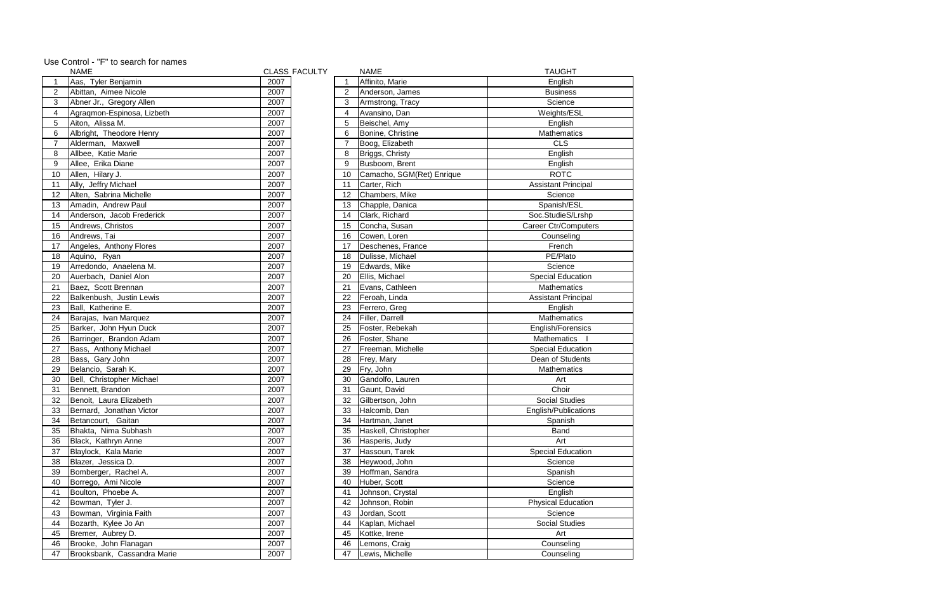Use Control - "F" to search for names

| 2007<br>Affinito, Marie<br>Aas, Tyler Benjamin<br>English<br>Abittan, Aimee Nicole<br>2007<br>$\overline{2}$<br>$\overline{2}$<br>Anderson, James<br><b>Business</b><br>2007<br>3<br>3<br>Abner Jr., Gregory Allen<br>Science<br>Armstrong, Tracy<br>Agragmon-Espinosa, Lizbeth<br>2007<br>Avansino, Dan<br>Weights/ESL<br>4<br>4<br>Aiton, Alissa M.<br>2007<br>Beischel, Amy<br>5<br>5<br>English<br>Albright, Theodore Henry<br>2007<br>6<br>Bonine, Christine<br>Mathematics<br>6<br>$\overline{7}$<br>$\overline{7}$<br>Alderman, Maxwell<br>2007<br><b>CLS</b><br>Boog, Elizabeth<br>Allbee, Katie Marie<br>2007<br>8<br>Briggs, Christy<br>English<br>8<br>Allee, Erika Diane<br>9<br>Busboom, Brent<br>9<br>2007<br>English<br><b>ROTC</b><br>Allen, Hilary J.<br>2007<br>Camacho, SGM(Ret) Enrique<br>10<br>10<br>2007<br>Carter, Rich<br>Ally, Jeffry Michael<br>11<br><b>Assistant Principal</b><br>11<br>Alten, Sabrina Michelle<br>2007<br>Chambers, Mike<br>12<br>12<br>Science<br>2007<br>13<br>Amadin, Andrew Paul<br>13<br>Spanish/ESL<br>Chapple, Danica<br>Anderson, Jacob Frederick<br>2007<br>Clark, Richard<br>Soc.StudieS/Lrshp<br>14<br>14<br>Andrews, Christos<br>2007<br>Concha, Susan<br><b>Career Ctr/Computers</b><br>15<br>15<br>Andrews, Tai<br>2007<br>Cowen, Loren<br>16<br>Counseling<br>16<br>2007<br>17<br>Angeles, Anthony Flores<br>17<br>Deschenes, France<br>French<br>2007<br>Dulisse, Michael<br>PE/Plato<br>18<br>Aquino, Ryan<br>18<br>Arredondo, Anaelena M.<br>Science<br>19<br>2007<br>19<br>Edwards, Mike<br>Auerbach, Daniel Alon<br>2007<br>Ellis, Michael<br><b>Special Education</b><br>20<br>20<br>2007<br>21<br>Evans, Cathleen<br>Mathematics<br>21<br>Baez, Scott Brennan<br>2007<br>Feroah, Linda<br>Balkenbush, Justin Lewis<br>22<br>22<br><b>Assistant Principal</b><br>Ball, Katherine E.<br>23<br>2007<br>23<br>Ferrero, Greg<br>English<br>Filler, Darrell<br><b>Mathematics</b><br>24<br>Barajas, Ivan Marquez<br>2007<br>24<br>Barker, John Hyun Duck<br>2007<br>Foster, Rebekah<br>25<br>English/Forensics<br>25<br>Barringer, Brandon Adam<br>2007<br>Foster, Shane<br><b>Mathematics</b><br>26<br>26<br>Bass, Anthony Michael<br>2007<br>27<br>27<br>Freeman, Michelle<br><b>Special Education</b><br>Dean of Students<br>Bass, Gary John<br>2007<br>28<br>28<br>Frey, Mary<br>Belancio, Sarah K.<br>Fry, John<br>29<br>2007<br>29<br>Mathematics<br>2007<br>Gandolfo, Lauren<br>Bell, Christopher Michael<br>30<br>Art<br>30<br>Choir<br>Gaunt, David<br>Bennett, Brandon<br>2007<br>31<br>31<br>2007<br>32<br><b>Social Studies</b><br>32<br>Benoit, Laura Elizabeth<br>Gilbertson, John<br>Bernard, Jonathan Victor<br>2007<br>33<br>Halcomb, Dan<br>33<br>English/Publications<br>Betancourt, Gaitan<br>2007<br>Spanish<br>34<br>Hartman, Janet<br>34<br>2007<br>Bhakta, Nima Subhash<br>Haskell, Christopher<br>35<br>35<br>Band<br>2007<br>Art<br>36<br>Black, Kathryn Anne<br>36<br>Hasperis, Judy<br>2007<br><b>Special Education</b><br>Blaylock, Kala Marie<br>37<br>Hassoun, Tarek<br>37<br>38<br>Blazer, Jessica D.<br>2007<br>Heywood, John<br>38<br>Science<br>Bomberger, Rachel A.<br>2007<br>39<br>39<br>Hoffman, Sandra<br>Spanish<br>2007<br>Borrego, Ami Nicole<br>40<br>Huber, Scott<br>Science<br>40<br>Boulton, Phoebe A.<br>2007<br>Johnson, Crystal<br>English<br>41<br>41<br>2007<br>Bowman, Tyler J.<br>42<br>Johnson, Robin<br><b>Physical Education</b><br>42<br>Bowman, Virginia Faith<br>2007<br>43<br>43<br>Jordan, Scott<br>Science<br>Bozarth, Kylee Jo An<br>2007<br>44<br>Kaplan, Michael<br>Social Studies<br>44<br>2007<br>Bremer, Aubrey D.<br>Kottke, Irene<br>Art<br>45<br>45<br>2007<br>Lemons, Craig<br>Counseling<br>46<br>Brooke, John Flanagan<br>46<br>2007<br>Brooksbank, Cassandra Marie<br>47<br>Lewis, Michelle<br>Counseling<br>47 | <b>NAME</b> | <b>CLASS FACULTY</b> | <b>NAME</b> | <b>TAUGHT</b> |
|-----------------------------------------------------------------------------------------------------------------------------------------------------------------------------------------------------------------------------------------------------------------------------------------------------------------------------------------------------------------------------------------------------------------------------------------------------------------------------------------------------------------------------------------------------------------------------------------------------------------------------------------------------------------------------------------------------------------------------------------------------------------------------------------------------------------------------------------------------------------------------------------------------------------------------------------------------------------------------------------------------------------------------------------------------------------------------------------------------------------------------------------------------------------------------------------------------------------------------------------------------------------------------------------------------------------------------------------------------------------------------------------------------------------------------------------------------------------------------------------------------------------------------------------------------------------------------------------------------------------------------------------------------------------------------------------------------------------------------------------------------------------------------------------------------------------------------------------------------------------------------------------------------------------------------------------------------------------------------------------------------------------------------------------------------------------------------------------------------------------------------------------------------------------------------------------------------------------------------------------------------------------------------------------------------------------------------------------------------------------------------------------------------------------------------------------------------------------------------------------------------------------------------------------------------------------------------------------------------------------------------------------------------------------------------------------------------------------------------------------------------------------------------------------------------------------------------------------------------------------------------------------------------------------------------------------------------------------------------------------------------------------------------------------------------------------------------------------------------------------------------------------------------------------------------------------------------------------------------------------------------------------------------------------------------------------------------------------------------------------------------------------------------------------------------------------------------------------------------------------------------------------------------------------------------------------------------------------------------------------------------------------------------------------------------------------------------------------------------------------------------------------------------------------------------------------------------------------------------------|-------------|----------------------|-------------|---------------|
|                                                                                                                                                                                                                                                                                                                                                                                                                                                                                                                                                                                                                                                                                                                                                                                                                                                                                                                                                                                                                                                                                                                                                                                                                                                                                                                                                                                                                                                                                                                                                                                                                                                                                                                                                                                                                                                                                                                                                                                                                                                                                                                                                                                                                                                                                                                                                                                                                                                                                                                                                                                                                                                                                                                                                                                                                                                                                                                                                                                                                                                                                                                                                                                                                                                                                                                                                                                                                                                                                                                                                                                                                                                                                                                                                                                                                                                           |             |                      |             |               |
|                                                                                                                                                                                                                                                                                                                                                                                                                                                                                                                                                                                                                                                                                                                                                                                                                                                                                                                                                                                                                                                                                                                                                                                                                                                                                                                                                                                                                                                                                                                                                                                                                                                                                                                                                                                                                                                                                                                                                                                                                                                                                                                                                                                                                                                                                                                                                                                                                                                                                                                                                                                                                                                                                                                                                                                                                                                                                                                                                                                                                                                                                                                                                                                                                                                                                                                                                                                                                                                                                                                                                                                                                                                                                                                                                                                                                                                           |             |                      |             |               |
|                                                                                                                                                                                                                                                                                                                                                                                                                                                                                                                                                                                                                                                                                                                                                                                                                                                                                                                                                                                                                                                                                                                                                                                                                                                                                                                                                                                                                                                                                                                                                                                                                                                                                                                                                                                                                                                                                                                                                                                                                                                                                                                                                                                                                                                                                                                                                                                                                                                                                                                                                                                                                                                                                                                                                                                                                                                                                                                                                                                                                                                                                                                                                                                                                                                                                                                                                                                                                                                                                                                                                                                                                                                                                                                                                                                                                                                           |             |                      |             |               |
|                                                                                                                                                                                                                                                                                                                                                                                                                                                                                                                                                                                                                                                                                                                                                                                                                                                                                                                                                                                                                                                                                                                                                                                                                                                                                                                                                                                                                                                                                                                                                                                                                                                                                                                                                                                                                                                                                                                                                                                                                                                                                                                                                                                                                                                                                                                                                                                                                                                                                                                                                                                                                                                                                                                                                                                                                                                                                                                                                                                                                                                                                                                                                                                                                                                                                                                                                                                                                                                                                                                                                                                                                                                                                                                                                                                                                                                           |             |                      |             |               |
|                                                                                                                                                                                                                                                                                                                                                                                                                                                                                                                                                                                                                                                                                                                                                                                                                                                                                                                                                                                                                                                                                                                                                                                                                                                                                                                                                                                                                                                                                                                                                                                                                                                                                                                                                                                                                                                                                                                                                                                                                                                                                                                                                                                                                                                                                                                                                                                                                                                                                                                                                                                                                                                                                                                                                                                                                                                                                                                                                                                                                                                                                                                                                                                                                                                                                                                                                                                                                                                                                                                                                                                                                                                                                                                                                                                                                                                           |             |                      |             |               |
|                                                                                                                                                                                                                                                                                                                                                                                                                                                                                                                                                                                                                                                                                                                                                                                                                                                                                                                                                                                                                                                                                                                                                                                                                                                                                                                                                                                                                                                                                                                                                                                                                                                                                                                                                                                                                                                                                                                                                                                                                                                                                                                                                                                                                                                                                                                                                                                                                                                                                                                                                                                                                                                                                                                                                                                                                                                                                                                                                                                                                                                                                                                                                                                                                                                                                                                                                                                                                                                                                                                                                                                                                                                                                                                                                                                                                                                           |             |                      |             |               |
|                                                                                                                                                                                                                                                                                                                                                                                                                                                                                                                                                                                                                                                                                                                                                                                                                                                                                                                                                                                                                                                                                                                                                                                                                                                                                                                                                                                                                                                                                                                                                                                                                                                                                                                                                                                                                                                                                                                                                                                                                                                                                                                                                                                                                                                                                                                                                                                                                                                                                                                                                                                                                                                                                                                                                                                                                                                                                                                                                                                                                                                                                                                                                                                                                                                                                                                                                                                                                                                                                                                                                                                                                                                                                                                                                                                                                                                           |             |                      |             |               |
|                                                                                                                                                                                                                                                                                                                                                                                                                                                                                                                                                                                                                                                                                                                                                                                                                                                                                                                                                                                                                                                                                                                                                                                                                                                                                                                                                                                                                                                                                                                                                                                                                                                                                                                                                                                                                                                                                                                                                                                                                                                                                                                                                                                                                                                                                                                                                                                                                                                                                                                                                                                                                                                                                                                                                                                                                                                                                                                                                                                                                                                                                                                                                                                                                                                                                                                                                                                                                                                                                                                                                                                                                                                                                                                                                                                                                                                           |             |                      |             |               |
|                                                                                                                                                                                                                                                                                                                                                                                                                                                                                                                                                                                                                                                                                                                                                                                                                                                                                                                                                                                                                                                                                                                                                                                                                                                                                                                                                                                                                                                                                                                                                                                                                                                                                                                                                                                                                                                                                                                                                                                                                                                                                                                                                                                                                                                                                                                                                                                                                                                                                                                                                                                                                                                                                                                                                                                                                                                                                                                                                                                                                                                                                                                                                                                                                                                                                                                                                                                                                                                                                                                                                                                                                                                                                                                                                                                                                                                           |             |                      |             |               |
|                                                                                                                                                                                                                                                                                                                                                                                                                                                                                                                                                                                                                                                                                                                                                                                                                                                                                                                                                                                                                                                                                                                                                                                                                                                                                                                                                                                                                                                                                                                                                                                                                                                                                                                                                                                                                                                                                                                                                                                                                                                                                                                                                                                                                                                                                                                                                                                                                                                                                                                                                                                                                                                                                                                                                                                                                                                                                                                                                                                                                                                                                                                                                                                                                                                                                                                                                                                                                                                                                                                                                                                                                                                                                                                                                                                                                                                           |             |                      |             |               |
|                                                                                                                                                                                                                                                                                                                                                                                                                                                                                                                                                                                                                                                                                                                                                                                                                                                                                                                                                                                                                                                                                                                                                                                                                                                                                                                                                                                                                                                                                                                                                                                                                                                                                                                                                                                                                                                                                                                                                                                                                                                                                                                                                                                                                                                                                                                                                                                                                                                                                                                                                                                                                                                                                                                                                                                                                                                                                                                                                                                                                                                                                                                                                                                                                                                                                                                                                                                                                                                                                                                                                                                                                                                                                                                                                                                                                                                           |             |                      |             |               |
|                                                                                                                                                                                                                                                                                                                                                                                                                                                                                                                                                                                                                                                                                                                                                                                                                                                                                                                                                                                                                                                                                                                                                                                                                                                                                                                                                                                                                                                                                                                                                                                                                                                                                                                                                                                                                                                                                                                                                                                                                                                                                                                                                                                                                                                                                                                                                                                                                                                                                                                                                                                                                                                                                                                                                                                                                                                                                                                                                                                                                                                                                                                                                                                                                                                                                                                                                                                                                                                                                                                                                                                                                                                                                                                                                                                                                                                           |             |                      |             |               |
|                                                                                                                                                                                                                                                                                                                                                                                                                                                                                                                                                                                                                                                                                                                                                                                                                                                                                                                                                                                                                                                                                                                                                                                                                                                                                                                                                                                                                                                                                                                                                                                                                                                                                                                                                                                                                                                                                                                                                                                                                                                                                                                                                                                                                                                                                                                                                                                                                                                                                                                                                                                                                                                                                                                                                                                                                                                                                                                                                                                                                                                                                                                                                                                                                                                                                                                                                                                                                                                                                                                                                                                                                                                                                                                                                                                                                                                           |             |                      |             |               |
|                                                                                                                                                                                                                                                                                                                                                                                                                                                                                                                                                                                                                                                                                                                                                                                                                                                                                                                                                                                                                                                                                                                                                                                                                                                                                                                                                                                                                                                                                                                                                                                                                                                                                                                                                                                                                                                                                                                                                                                                                                                                                                                                                                                                                                                                                                                                                                                                                                                                                                                                                                                                                                                                                                                                                                                                                                                                                                                                                                                                                                                                                                                                                                                                                                                                                                                                                                                                                                                                                                                                                                                                                                                                                                                                                                                                                                                           |             |                      |             |               |
|                                                                                                                                                                                                                                                                                                                                                                                                                                                                                                                                                                                                                                                                                                                                                                                                                                                                                                                                                                                                                                                                                                                                                                                                                                                                                                                                                                                                                                                                                                                                                                                                                                                                                                                                                                                                                                                                                                                                                                                                                                                                                                                                                                                                                                                                                                                                                                                                                                                                                                                                                                                                                                                                                                                                                                                                                                                                                                                                                                                                                                                                                                                                                                                                                                                                                                                                                                                                                                                                                                                                                                                                                                                                                                                                                                                                                                                           |             |                      |             |               |
|                                                                                                                                                                                                                                                                                                                                                                                                                                                                                                                                                                                                                                                                                                                                                                                                                                                                                                                                                                                                                                                                                                                                                                                                                                                                                                                                                                                                                                                                                                                                                                                                                                                                                                                                                                                                                                                                                                                                                                                                                                                                                                                                                                                                                                                                                                                                                                                                                                                                                                                                                                                                                                                                                                                                                                                                                                                                                                                                                                                                                                                                                                                                                                                                                                                                                                                                                                                                                                                                                                                                                                                                                                                                                                                                                                                                                                                           |             |                      |             |               |
|                                                                                                                                                                                                                                                                                                                                                                                                                                                                                                                                                                                                                                                                                                                                                                                                                                                                                                                                                                                                                                                                                                                                                                                                                                                                                                                                                                                                                                                                                                                                                                                                                                                                                                                                                                                                                                                                                                                                                                                                                                                                                                                                                                                                                                                                                                                                                                                                                                                                                                                                                                                                                                                                                                                                                                                                                                                                                                                                                                                                                                                                                                                                                                                                                                                                                                                                                                                                                                                                                                                                                                                                                                                                                                                                                                                                                                                           |             |                      |             |               |
|                                                                                                                                                                                                                                                                                                                                                                                                                                                                                                                                                                                                                                                                                                                                                                                                                                                                                                                                                                                                                                                                                                                                                                                                                                                                                                                                                                                                                                                                                                                                                                                                                                                                                                                                                                                                                                                                                                                                                                                                                                                                                                                                                                                                                                                                                                                                                                                                                                                                                                                                                                                                                                                                                                                                                                                                                                                                                                                                                                                                                                                                                                                                                                                                                                                                                                                                                                                                                                                                                                                                                                                                                                                                                                                                                                                                                                                           |             |                      |             |               |
|                                                                                                                                                                                                                                                                                                                                                                                                                                                                                                                                                                                                                                                                                                                                                                                                                                                                                                                                                                                                                                                                                                                                                                                                                                                                                                                                                                                                                                                                                                                                                                                                                                                                                                                                                                                                                                                                                                                                                                                                                                                                                                                                                                                                                                                                                                                                                                                                                                                                                                                                                                                                                                                                                                                                                                                                                                                                                                                                                                                                                                                                                                                                                                                                                                                                                                                                                                                                                                                                                                                                                                                                                                                                                                                                                                                                                                                           |             |                      |             |               |
|                                                                                                                                                                                                                                                                                                                                                                                                                                                                                                                                                                                                                                                                                                                                                                                                                                                                                                                                                                                                                                                                                                                                                                                                                                                                                                                                                                                                                                                                                                                                                                                                                                                                                                                                                                                                                                                                                                                                                                                                                                                                                                                                                                                                                                                                                                                                                                                                                                                                                                                                                                                                                                                                                                                                                                                                                                                                                                                                                                                                                                                                                                                                                                                                                                                                                                                                                                                                                                                                                                                                                                                                                                                                                                                                                                                                                                                           |             |                      |             |               |
|                                                                                                                                                                                                                                                                                                                                                                                                                                                                                                                                                                                                                                                                                                                                                                                                                                                                                                                                                                                                                                                                                                                                                                                                                                                                                                                                                                                                                                                                                                                                                                                                                                                                                                                                                                                                                                                                                                                                                                                                                                                                                                                                                                                                                                                                                                                                                                                                                                                                                                                                                                                                                                                                                                                                                                                                                                                                                                                                                                                                                                                                                                                                                                                                                                                                                                                                                                                                                                                                                                                                                                                                                                                                                                                                                                                                                                                           |             |                      |             |               |
|                                                                                                                                                                                                                                                                                                                                                                                                                                                                                                                                                                                                                                                                                                                                                                                                                                                                                                                                                                                                                                                                                                                                                                                                                                                                                                                                                                                                                                                                                                                                                                                                                                                                                                                                                                                                                                                                                                                                                                                                                                                                                                                                                                                                                                                                                                                                                                                                                                                                                                                                                                                                                                                                                                                                                                                                                                                                                                                                                                                                                                                                                                                                                                                                                                                                                                                                                                                                                                                                                                                                                                                                                                                                                                                                                                                                                                                           |             |                      |             |               |
|                                                                                                                                                                                                                                                                                                                                                                                                                                                                                                                                                                                                                                                                                                                                                                                                                                                                                                                                                                                                                                                                                                                                                                                                                                                                                                                                                                                                                                                                                                                                                                                                                                                                                                                                                                                                                                                                                                                                                                                                                                                                                                                                                                                                                                                                                                                                                                                                                                                                                                                                                                                                                                                                                                                                                                                                                                                                                                                                                                                                                                                                                                                                                                                                                                                                                                                                                                                                                                                                                                                                                                                                                                                                                                                                                                                                                                                           |             |                      |             |               |
|                                                                                                                                                                                                                                                                                                                                                                                                                                                                                                                                                                                                                                                                                                                                                                                                                                                                                                                                                                                                                                                                                                                                                                                                                                                                                                                                                                                                                                                                                                                                                                                                                                                                                                                                                                                                                                                                                                                                                                                                                                                                                                                                                                                                                                                                                                                                                                                                                                                                                                                                                                                                                                                                                                                                                                                                                                                                                                                                                                                                                                                                                                                                                                                                                                                                                                                                                                                                                                                                                                                                                                                                                                                                                                                                                                                                                                                           |             |                      |             |               |
|                                                                                                                                                                                                                                                                                                                                                                                                                                                                                                                                                                                                                                                                                                                                                                                                                                                                                                                                                                                                                                                                                                                                                                                                                                                                                                                                                                                                                                                                                                                                                                                                                                                                                                                                                                                                                                                                                                                                                                                                                                                                                                                                                                                                                                                                                                                                                                                                                                                                                                                                                                                                                                                                                                                                                                                                                                                                                                                                                                                                                                                                                                                                                                                                                                                                                                                                                                                                                                                                                                                                                                                                                                                                                                                                                                                                                                                           |             |                      |             |               |
|                                                                                                                                                                                                                                                                                                                                                                                                                                                                                                                                                                                                                                                                                                                                                                                                                                                                                                                                                                                                                                                                                                                                                                                                                                                                                                                                                                                                                                                                                                                                                                                                                                                                                                                                                                                                                                                                                                                                                                                                                                                                                                                                                                                                                                                                                                                                                                                                                                                                                                                                                                                                                                                                                                                                                                                                                                                                                                                                                                                                                                                                                                                                                                                                                                                                                                                                                                                                                                                                                                                                                                                                                                                                                                                                                                                                                                                           |             |                      |             |               |
|                                                                                                                                                                                                                                                                                                                                                                                                                                                                                                                                                                                                                                                                                                                                                                                                                                                                                                                                                                                                                                                                                                                                                                                                                                                                                                                                                                                                                                                                                                                                                                                                                                                                                                                                                                                                                                                                                                                                                                                                                                                                                                                                                                                                                                                                                                                                                                                                                                                                                                                                                                                                                                                                                                                                                                                                                                                                                                                                                                                                                                                                                                                                                                                                                                                                                                                                                                                                                                                                                                                                                                                                                                                                                                                                                                                                                                                           |             |                      |             |               |
|                                                                                                                                                                                                                                                                                                                                                                                                                                                                                                                                                                                                                                                                                                                                                                                                                                                                                                                                                                                                                                                                                                                                                                                                                                                                                                                                                                                                                                                                                                                                                                                                                                                                                                                                                                                                                                                                                                                                                                                                                                                                                                                                                                                                                                                                                                                                                                                                                                                                                                                                                                                                                                                                                                                                                                                                                                                                                                                                                                                                                                                                                                                                                                                                                                                                                                                                                                                                                                                                                                                                                                                                                                                                                                                                                                                                                                                           |             |                      |             |               |
|                                                                                                                                                                                                                                                                                                                                                                                                                                                                                                                                                                                                                                                                                                                                                                                                                                                                                                                                                                                                                                                                                                                                                                                                                                                                                                                                                                                                                                                                                                                                                                                                                                                                                                                                                                                                                                                                                                                                                                                                                                                                                                                                                                                                                                                                                                                                                                                                                                                                                                                                                                                                                                                                                                                                                                                                                                                                                                                                                                                                                                                                                                                                                                                                                                                                                                                                                                                                                                                                                                                                                                                                                                                                                                                                                                                                                                                           |             |                      |             |               |
|                                                                                                                                                                                                                                                                                                                                                                                                                                                                                                                                                                                                                                                                                                                                                                                                                                                                                                                                                                                                                                                                                                                                                                                                                                                                                                                                                                                                                                                                                                                                                                                                                                                                                                                                                                                                                                                                                                                                                                                                                                                                                                                                                                                                                                                                                                                                                                                                                                                                                                                                                                                                                                                                                                                                                                                                                                                                                                                                                                                                                                                                                                                                                                                                                                                                                                                                                                                                                                                                                                                                                                                                                                                                                                                                                                                                                                                           |             |                      |             |               |
|                                                                                                                                                                                                                                                                                                                                                                                                                                                                                                                                                                                                                                                                                                                                                                                                                                                                                                                                                                                                                                                                                                                                                                                                                                                                                                                                                                                                                                                                                                                                                                                                                                                                                                                                                                                                                                                                                                                                                                                                                                                                                                                                                                                                                                                                                                                                                                                                                                                                                                                                                                                                                                                                                                                                                                                                                                                                                                                                                                                                                                                                                                                                                                                                                                                                                                                                                                                                                                                                                                                                                                                                                                                                                                                                                                                                                                                           |             |                      |             |               |
|                                                                                                                                                                                                                                                                                                                                                                                                                                                                                                                                                                                                                                                                                                                                                                                                                                                                                                                                                                                                                                                                                                                                                                                                                                                                                                                                                                                                                                                                                                                                                                                                                                                                                                                                                                                                                                                                                                                                                                                                                                                                                                                                                                                                                                                                                                                                                                                                                                                                                                                                                                                                                                                                                                                                                                                                                                                                                                                                                                                                                                                                                                                                                                                                                                                                                                                                                                                                                                                                                                                                                                                                                                                                                                                                                                                                                                                           |             |                      |             |               |
|                                                                                                                                                                                                                                                                                                                                                                                                                                                                                                                                                                                                                                                                                                                                                                                                                                                                                                                                                                                                                                                                                                                                                                                                                                                                                                                                                                                                                                                                                                                                                                                                                                                                                                                                                                                                                                                                                                                                                                                                                                                                                                                                                                                                                                                                                                                                                                                                                                                                                                                                                                                                                                                                                                                                                                                                                                                                                                                                                                                                                                                                                                                                                                                                                                                                                                                                                                                                                                                                                                                                                                                                                                                                                                                                                                                                                                                           |             |                      |             |               |
|                                                                                                                                                                                                                                                                                                                                                                                                                                                                                                                                                                                                                                                                                                                                                                                                                                                                                                                                                                                                                                                                                                                                                                                                                                                                                                                                                                                                                                                                                                                                                                                                                                                                                                                                                                                                                                                                                                                                                                                                                                                                                                                                                                                                                                                                                                                                                                                                                                                                                                                                                                                                                                                                                                                                                                                                                                                                                                                                                                                                                                                                                                                                                                                                                                                                                                                                                                                                                                                                                                                                                                                                                                                                                                                                                                                                                                                           |             |                      |             |               |
|                                                                                                                                                                                                                                                                                                                                                                                                                                                                                                                                                                                                                                                                                                                                                                                                                                                                                                                                                                                                                                                                                                                                                                                                                                                                                                                                                                                                                                                                                                                                                                                                                                                                                                                                                                                                                                                                                                                                                                                                                                                                                                                                                                                                                                                                                                                                                                                                                                                                                                                                                                                                                                                                                                                                                                                                                                                                                                                                                                                                                                                                                                                                                                                                                                                                                                                                                                                                                                                                                                                                                                                                                                                                                                                                                                                                                                                           |             |                      |             |               |
|                                                                                                                                                                                                                                                                                                                                                                                                                                                                                                                                                                                                                                                                                                                                                                                                                                                                                                                                                                                                                                                                                                                                                                                                                                                                                                                                                                                                                                                                                                                                                                                                                                                                                                                                                                                                                                                                                                                                                                                                                                                                                                                                                                                                                                                                                                                                                                                                                                                                                                                                                                                                                                                                                                                                                                                                                                                                                                                                                                                                                                                                                                                                                                                                                                                                                                                                                                                                                                                                                                                                                                                                                                                                                                                                                                                                                                                           |             |                      |             |               |
|                                                                                                                                                                                                                                                                                                                                                                                                                                                                                                                                                                                                                                                                                                                                                                                                                                                                                                                                                                                                                                                                                                                                                                                                                                                                                                                                                                                                                                                                                                                                                                                                                                                                                                                                                                                                                                                                                                                                                                                                                                                                                                                                                                                                                                                                                                                                                                                                                                                                                                                                                                                                                                                                                                                                                                                                                                                                                                                                                                                                                                                                                                                                                                                                                                                                                                                                                                                                                                                                                                                                                                                                                                                                                                                                                                                                                                                           |             |                      |             |               |
|                                                                                                                                                                                                                                                                                                                                                                                                                                                                                                                                                                                                                                                                                                                                                                                                                                                                                                                                                                                                                                                                                                                                                                                                                                                                                                                                                                                                                                                                                                                                                                                                                                                                                                                                                                                                                                                                                                                                                                                                                                                                                                                                                                                                                                                                                                                                                                                                                                                                                                                                                                                                                                                                                                                                                                                                                                                                                                                                                                                                                                                                                                                                                                                                                                                                                                                                                                                                                                                                                                                                                                                                                                                                                                                                                                                                                                                           |             |                      |             |               |
|                                                                                                                                                                                                                                                                                                                                                                                                                                                                                                                                                                                                                                                                                                                                                                                                                                                                                                                                                                                                                                                                                                                                                                                                                                                                                                                                                                                                                                                                                                                                                                                                                                                                                                                                                                                                                                                                                                                                                                                                                                                                                                                                                                                                                                                                                                                                                                                                                                                                                                                                                                                                                                                                                                                                                                                                                                                                                                                                                                                                                                                                                                                                                                                                                                                                                                                                                                                                                                                                                                                                                                                                                                                                                                                                                                                                                                                           |             |                      |             |               |
|                                                                                                                                                                                                                                                                                                                                                                                                                                                                                                                                                                                                                                                                                                                                                                                                                                                                                                                                                                                                                                                                                                                                                                                                                                                                                                                                                                                                                                                                                                                                                                                                                                                                                                                                                                                                                                                                                                                                                                                                                                                                                                                                                                                                                                                                                                                                                                                                                                                                                                                                                                                                                                                                                                                                                                                                                                                                                                                                                                                                                                                                                                                                                                                                                                                                                                                                                                                                                                                                                                                                                                                                                                                                                                                                                                                                                                                           |             |                      |             |               |
|                                                                                                                                                                                                                                                                                                                                                                                                                                                                                                                                                                                                                                                                                                                                                                                                                                                                                                                                                                                                                                                                                                                                                                                                                                                                                                                                                                                                                                                                                                                                                                                                                                                                                                                                                                                                                                                                                                                                                                                                                                                                                                                                                                                                                                                                                                                                                                                                                                                                                                                                                                                                                                                                                                                                                                                                                                                                                                                                                                                                                                                                                                                                                                                                                                                                                                                                                                                                                                                                                                                                                                                                                                                                                                                                                                                                                                                           |             |                      |             |               |
|                                                                                                                                                                                                                                                                                                                                                                                                                                                                                                                                                                                                                                                                                                                                                                                                                                                                                                                                                                                                                                                                                                                                                                                                                                                                                                                                                                                                                                                                                                                                                                                                                                                                                                                                                                                                                                                                                                                                                                                                                                                                                                                                                                                                                                                                                                                                                                                                                                                                                                                                                                                                                                                                                                                                                                                                                                                                                                                                                                                                                                                                                                                                                                                                                                                                                                                                                                                                                                                                                                                                                                                                                                                                                                                                                                                                                                                           |             |                      |             |               |
|                                                                                                                                                                                                                                                                                                                                                                                                                                                                                                                                                                                                                                                                                                                                                                                                                                                                                                                                                                                                                                                                                                                                                                                                                                                                                                                                                                                                                                                                                                                                                                                                                                                                                                                                                                                                                                                                                                                                                                                                                                                                                                                                                                                                                                                                                                                                                                                                                                                                                                                                                                                                                                                                                                                                                                                                                                                                                                                                                                                                                                                                                                                                                                                                                                                                                                                                                                                                                                                                                                                                                                                                                                                                                                                                                                                                                                                           |             |                      |             |               |
|                                                                                                                                                                                                                                                                                                                                                                                                                                                                                                                                                                                                                                                                                                                                                                                                                                                                                                                                                                                                                                                                                                                                                                                                                                                                                                                                                                                                                                                                                                                                                                                                                                                                                                                                                                                                                                                                                                                                                                                                                                                                                                                                                                                                                                                                                                                                                                                                                                                                                                                                                                                                                                                                                                                                                                                                                                                                                                                                                                                                                                                                                                                                                                                                                                                                                                                                                                                                                                                                                                                                                                                                                                                                                                                                                                                                                                                           |             |                      |             |               |
|                                                                                                                                                                                                                                                                                                                                                                                                                                                                                                                                                                                                                                                                                                                                                                                                                                                                                                                                                                                                                                                                                                                                                                                                                                                                                                                                                                                                                                                                                                                                                                                                                                                                                                                                                                                                                                                                                                                                                                                                                                                                                                                                                                                                                                                                                                                                                                                                                                                                                                                                                                                                                                                                                                                                                                                                                                                                                                                                                                                                                                                                                                                                                                                                                                                                                                                                                                                                                                                                                                                                                                                                                                                                                                                                                                                                                                                           |             |                      |             |               |
|                                                                                                                                                                                                                                                                                                                                                                                                                                                                                                                                                                                                                                                                                                                                                                                                                                                                                                                                                                                                                                                                                                                                                                                                                                                                                                                                                                                                                                                                                                                                                                                                                                                                                                                                                                                                                                                                                                                                                                                                                                                                                                                                                                                                                                                                                                                                                                                                                                                                                                                                                                                                                                                                                                                                                                                                                                                                                                                                                                                                                                                                                                                                                                                                                                                                                                                                                                                                                                                                                                                                                                                                                                                                                                                                                                                                                                                           |             |                      |             |               |
|                                                                                                                                                                                                                                                                                                                                                                                                                                                                                                                                                                                                                                                                                                                                                                                                                                                                                                                                                                                                                                                                                                                                                                                                                                                                                                                                                                                                                                                                                                                                                                                                                                                                                                                                                                                                                                                                                                                                                                                                                                                                                                                                                                                                                                                                                                                                                                                                                                                                                                                                                                                                                                                                                                                                                                                                                                                                                                                                                                                                                                                                                                                                                                                                                                                                                                                                                                                                                                                                                                                                                                                                                                                                                                                                                                                                                                                           |             |                      |             |               |
|                                                                                                                                                                                                                                                                                                                                                                                                                                                                                                                                                                                                                                                                                                                                                                                                                                                                                                                                                                                                                                                                                                                                                                                                                                                                                                                                                                                                                                                                                                                                                                                                                                                                                                                                                                                                                                                                                                                                                                                                                                                                                                                                                                                                                                                                                                                                                                                                                                                                                                                                                                                                                                                                                                                                                                                                                                                                                                                                                                                                                                                                                                                                                                                                                                                                                                                                                                                                                                                                                                                                                                                                                                                                                                                                                                                                                                                           |             |                      |             |               |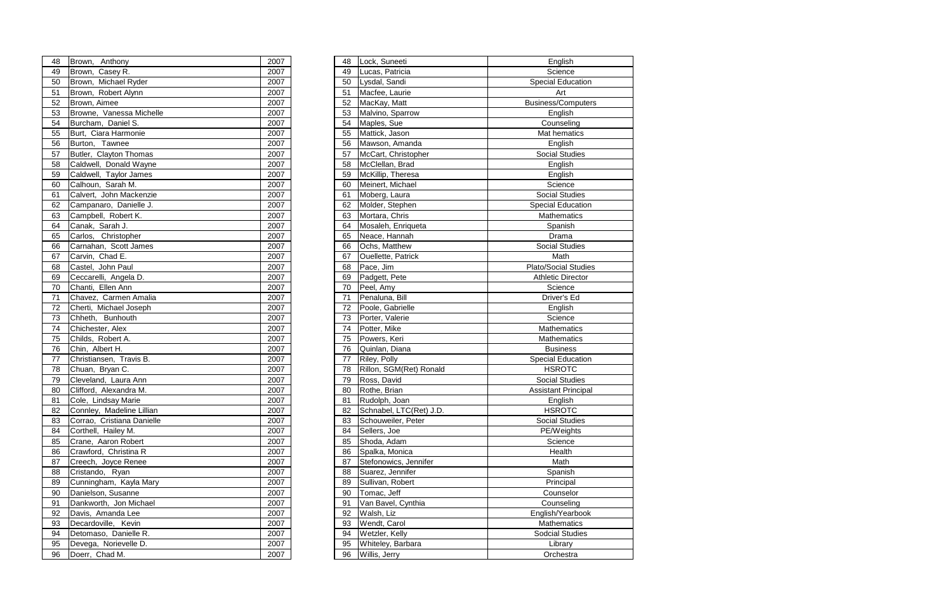| 48 | Brown, Anthony             | 2007 | 48 | Lock, Suneeti           | English                     |
|----|----------------------------|------|----|-------------------------|-----------------------------|
| 49 | Brown, Casey R.            | 2007 | 49 | Lucas, Patricia         | Science                     |
| 50 | Brown, Michael Ryder       | 2007 | 50 | Lysdal, Sandi           | <b>Special Education</b>    |
| 51 | Brown, Robert Alynn        | 2007 | 51 | Macfee, Laurie          | Art                         |
| 52 | Brown, Aimee               | 2007 | 52 | MacKay, Matt            | <b>Business/Computers</b>   |
| 53 | Browne, Vanessa Michelle   | 2007 | 53 | Malvino, Sparrow        | English                     |
| 54 | Burcham, Daniel S.         | 2007 | 54 | Maples, Sue             | Counseling                  |
| 55 | Burt, Ciara Harmonie       | 2007 | 55 | Mattick, Jason          | Mat hematics                |
| 56 | Burton, Tawnee             | 2007 | 56 | Mawson, Amanda          | English                     |
| 57 | Butler, Clayton Thomas     | 2007 | 57 | McCart, Christopher     | <b>Social Studies</b>       |
| 58 | Caldwell, Donald Wayne     | 2007 | 58 | McClellan, Brad         | English                     |
| 59 | Caldwell, Taylor James     | 2007 | 59 | McKillip, Theresa       | English                     |
| 60 | Calhoun, Sarah M.          | 2007 | 60 | Meinert, Michael        | Science                     |
| 61 | Calvert, John Mackenzie    | 2007 | 61 | Moberg, Laura           | <b>Social Studies</b>       |
| 62 | Campanaro, Danielle J.     | 2007 | 62 | Molder, Stephen         | <b>Special Education</b>    |
| 63 | Campbell, Robert K.        | 2007 | 63 | Mortara, Chris          | Mathematics                 |
| 64 | Canak, Sarah J.            | 2007 | 64 | Mosaleh, Enriqueta      | Spanish                     |
| 65 | Carlos, Christopher        | 2007 | 65 | Neace, Hannah           | Drama                       |
| 66 | Carnahan, Scott James      | 2007 | 66 | Ochs, Matthew           | <b>Social Studies</b>       |
| 67 | Carvin, Chad E.            | 2007 | 67 | Ouellette, Patrick      | Math                        |
| 68 | Castel, John Paul          | 2007 | 68 | Pace, Jim               | <b>Plato/Social Studies</b> |
| 69 | Ceccarelli, Angela D.      | 2007 | 69 | Padgett, Pete           | <b>Athletic Director</b>    |
| 70 | Chanti, Ellen Ann          | 2007 | 70 | Peel, Amy               | Science                     |
| 71 | Chavez, Carmen Amalia      | 2007 | 71 | Penaluna, Bill          | Driver's Ed                 |
| 72 | Cherti, Michael Joseph     | 2007 | 72 | Poole, Gabrielle        | English                     |
| 73 | Chheth, Bunhouth           | 2007 | 73 | Porter, Valerie         | Science                     |
| 74 | Chichester, Alex           | 2007 | 74 | Potter, Mike            | Mathematics                 |
| 75 | Childs, Robert A.          | 2007 | 75 | Powers, Keri            | Mathematics                 |
| 76 | Chin, Albert H.            | 2007 | 76 | Quinlan, Diana          | <b>Business</b>             |
| 77 | Christiansen, Travis B.    | 2007 | 77 | Riley, Polly            | <b>Special Education</b>    |
| 78 | Chuan, Bryan C.            | 2007 | 78 | Rillon, SGM(Ret) Ronald | <b>HSROTC</b>               |
| 79 | Cleveland, Laura Ann       | 2007 | 79 | Ross, David             | <b>Social Studies</b>       |
| 80 | Clifford, Alexandra M.     | 2007 | 80 | Rothe, Brian            | <b>Assistant Principal</b>  |
| 81 | Cole, Lindsay Marie        | 2007 | 81 | Rudolph, Joan           | English                     |
| 82 | Connley, Madeline Lillian  | 2007 | 82 | Schnabel, LTC(Ret) J.D. | <b>HSROTC</b>               |
| 83 | Corrao, Cristiana Danielle | 2007 | 83 | Schouweiler, Peter      | <b>Social Studies</b>       |
| 84 | Corthell, Hailey M.        | 2007 | 84 | Sellers, Joe            | PE/Weights                  |
| 85 | Crane, Aaron Robert        | 2007 | 85 | Shoda, Adam             | Science                     |
| 86 | Crawford, Christina R      | 2007 | 86 | Spalka, Monica          | Health                      |
| 87 | Creech, Joyce Renee        | 2007 | 87 | Stefonowics, Jennifer   | Math                        |
| 88 | Cristando, Ryan            | 2007 | 88 | Suarez, Jennifer        | Spanish                     |
| 89 | Cunningham, Kayla Mary     | 2007 | 89 | Sullivan, Robert        | Principal                   |
| 90 | Danielson, Susanne         | 2007 | 90 | Tomac, Jeff             | Counselor                   |
| 91 | Dankworth, Jon Michael     | 2007 | 91 | Van Bavel, Cynthia      | Counseling                  |
| 92 | Davis, Amanda Lee          | 2007 | 92 | Walsh, Liz              | English/Yearbook            |
| 93 | Decardoville, Kevin        | 2007 | 93 | Wendt, Carol            | Mathematics                 |
| 94 | Detomaso, Danielle R.      | 2007 | 94 | Wetzler, Kelly          | <b>Sodcial Studies</b>      |
| 95 | Devega, Norievelle D.      | 2007 | 95 | Whiteley, Barbara       | Library                     |
| 96 | Doerr, Chad M.             | 2007 | 96 | Willis, Jerry           | Orchestra                   |
|    |                            |      |    |                         |                             |

| 48 | Brown, Anthony             | 2007 | 48 | Lock, Suneeti           | English                 |
|----|----------------------------|------|----|-------------------------|-------------------------|
| 49 | Brown, Casey R.            | 2007 | 49 | Lucas, Patricia         | Science                 |
| 50 | Brown, Michael Ryder       | 2007 | 50 | Lysdal, Sandi           | Special Educati         |
| 51 | Brown, Robert Alynn        | 2007 | 51 | Macfee, Laurie          | Art                     |
| 52 | Brown, Aimee               | 2007 | 52 | MacKay, Matt            | Business/Compu          |
| 53 | Browne, Vanessa Michelle   | 2007 | 53 | Malvino, Sparrow        | English                 |
| 54 | Burcham, Daniel S.         | 2007 | 54 | Maples, Sue             | Counseling              |
| 55 | Burt, Ciara Harmonie       | 2007 | 55 | Mattick, Jason          | Mat hematics            |
| 56 | Burton, Tawnee             | 2007 | 56 | Mawson, Amanda          | English                 |
| 57 | Butler, Clayton Thomas     | 2007 | 57 | McCart, Christopher     | Social Studies          |
| 58 | Caldwell, Donald Wayne     | 2007 | 58 | McClellan, Brad         | English                 |
| 59 | Caldwell, Taylor James     | 2007 | 59 | McKillip, Theresa       | English                 |
| 60 | Calhoun, Sarah M.          | 2007 | 60 | Meinert, Michael        | Science                 |
| 61 | Calvert, John Mackenzie    | 2007 | 61 | Moberg, Laura           | Social Studies          |
| 62 | Campanaro, Danielle J.     | 2007 | 62 | Molder, Stephen         | Special Educati         |
| 63 | Campbell, Robert K.        | 2007 | 63 | Mortara, Chris          | Mathematics             |
| 64 | Canak, Sarah J.            | 2007 | 64 | Mosaleh, Enriqueta      | Spanish                 |
| 65 | Carlos, Christopher        | 2007 | 65 | Neace, Hannah           | Drama                   |
| 66 | Carnahan, Scott James      | 2007 | 66 | Ochs, Matthew           | Social Studies          |
| 67 | Carvin, Chad E.            | 2007 | 67 | Ouellette, Patrick      | Math                    |
| 68 | Castel, John Paul          | 2007 | 68 | Pace, Jim               | Plato/Social Stud       |
| 69 | Ceccarelli, Angela D.      | 2007 | 69 | Padgett, Pete           | <b>Athletic Directo</b> |
| 70 | Chanti, Ellen Ann          | 2007 | 70 | Peel, Amy               | Science                 |
| 71 | Chavez, Carmen Amalia      | 2007 | 71 | Penaluna, Bill          | Driver's Ed             |
| 72 | Cherti, Michael Joseph     | 2007 | 72 | Poole, Gabrielle        | English                 |
| 73 | Chheth, Bunhouth           | 2007 | 73 | Porter, Valerie         | Science                 |
| 74 | Chichester, Alex           | 2007 | 74 | Potter, Mike            | Mathematics             |
| 75 | Childs, Robert A.          | 2007 | 75 | Powers, Keri            | Mathematics             |
| 76 | Chin, Albert H.            | 2007 | 76 | Quinlan, Diana          | <b>Business</b>         |
| 77 | Christiansen, Travis B.    | 2007 | 77 | Riley, Polly            | <b>Special Educati</b>  |
| 78 | Chuan, Bryan C.            | 2007 | 78 | Rillon, SGM(Ret) Ronald | <b>HSROTC</b>           |
| 79 | Cleveland, Laura Ann       | 2007 | 79 | Ross, David             | Social Studies          |
| 80 | Clifford, Alexandra M.     | 2007 | 80 | Rothe, Brian            | <b>Assistant Princi</b> |
| 81 | Cole, Lindsay Marie        | 2007 | 81 | Rudolph, Joan           | English                 |
| 82 | Connley, Madeline Lillian  | 2007 | 82 | Schnabel, LTC(Ret) J.D. | <b>HSROTC</b>           |
| 83 | Corrao, Cristiana Danielle | 2007 | 83 | Schouweiler, Peter      | Social Studies          |
| 84 | Corthell, Hailey M.        | 2007 | 84 | Sellers, Joe            | PE/Weights              |
| 85 | Crane, Aaron Robert        | 2007 | 85 | Shoda, Adam             | Science                 |
| 86 | Crawford, Christina R      | 2007 | 86 | Spalka, Monica          | Health                  |
| 87 | Creech, Joyce Renee        | 2007 | 87 | Stefonowics, Jennifer   | Math                    |
| 88 | Cristando, Ryan            | 2007 | 88 | Suarez, Jennifer        | Spanish                 |
| 89 | Cunningham, Kayla Mary     | 2007 | 89 | Sullivan, Robert        | Principal               |
| 90 | Danielson, Susanne         | 2007 | 90 | Tomac, Jeff             | Counselor               |
| 91 | Dankworth, Jon Michael     | 2007 | 91 | Van Bavel, Cynthia      | Counseling              |
| 92 | Davis, Amanda Lee          | 2007 | 92 | Walsh, Liz              | English/Yearbo          |
| 93 | Decardoville, Kevin        | 2007 | 93 | Wendt, Carol            | Mathematics             |
| 94 | Detomaso, Danielle R.      | 2007 | 94 | Wetzler, Kelly          | Sodcial Studie          |
| 95 | Devega, Norievelle D.      | 2007 | 95 | Whiteley, Barbara       | Library                 |
| 96 | Doerr, Chad M.             | 2007 | 96 | Willis, Jerry           | Orchestra               |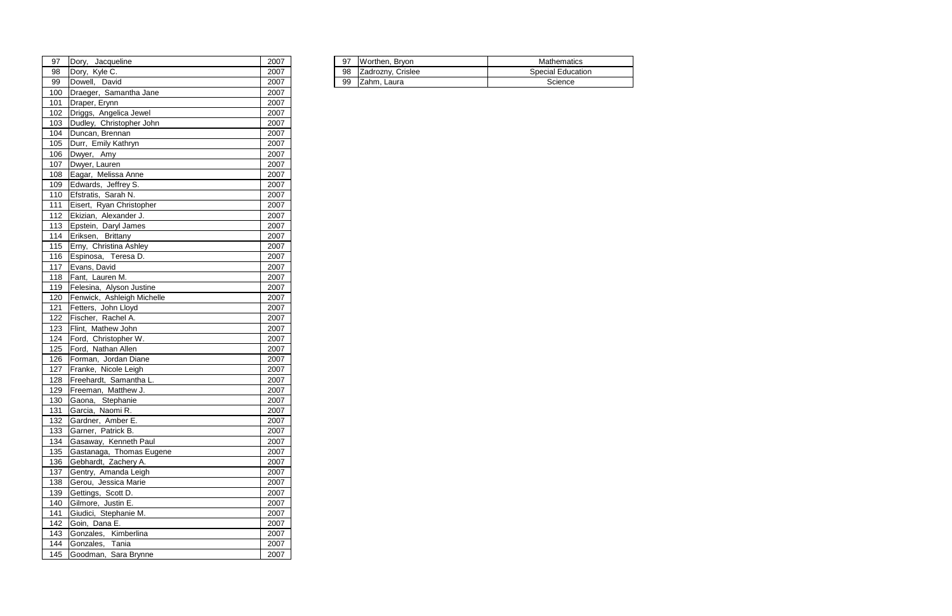| 97 | Jacqueline<br><b>Dorv</b> | 2007 | 97 | Brvon<br>/orthen.        | Mathematics                    |
|----|---------------------------|------|----|--------------------------|--------------------------------|
| 98 | Kyle C.<br><b>IDorv</b>   | 2007 | 98 | Crislee<br>droznv<br>∠au | $ -$<br>Special<br>∣ Educatior |
| 99 | <b>IDowell</b><br>David   | 2007 | 99 | Laura<br>I∠ahm.          | Science                        |

| 97  | Dory, Jacqueline           | 2007 | 97 | Worthen, Bryon    | Mathemati           |
|-----|----------------------------|------|----|-------------------|---------------------|
| 98  | Dory, Kyle C.              | 2007 | 98 | Zadrozny, Crislee | <b>Special Educ</b> |
| 99  | Dowell, David              | 2007 | 99 | Zahm, Laura       | Science             |
| 100 | Draeger, Samantha Jane     | 2007 |    |                   |                     |
| 101 | Draper, Erynn              | 2007 |    |                   |                     |
| 102 | Driggs, Angelica Jewel     | 2007 |    |                   |                     |
| 103 | Dudley, Christopher John   | 2007 |    |                   |                     |
| 104 | Duncan, Brennan            | 2007 |    |                   |                     |
| 105 | Durr, Emily Kathryn        | 2007 |    |                   |                     |
| 106 | Dwyer, Amy                 | 2007 |    |                   |                     |
| 107 | Dwyer, Lauren              | 2007 |    |                   |                     |
| 108 | Eagar, Melissa Anne        | 2007 |    |                   |                     |
| 109 | Edwards, Jeffrey S.        | 2007 |    |                   |                     |
| 110 | Efstratis, Sarah N.        | 2007 |    |                   |                     |
| 111 | Eisert, Ryan Christopher   | 2007 |    |                   |                     |
| 112 | Ekizian, Alexander J.      | 2007 |    |                   |                     |
| 113 | Epstein, Daryl James       | 2007 |    |                   |                     |
| 114 | Eriksen, Brittany          | 2007 |    |                   |                     |
| 115 | Erny, Christina Ashley     | 2007 |    |                   |                     |
| 116 | Espinosa, Teresa D.        | 2007 |    |                   |                     |
| 117 | Evans, David               | 2007 |    |                   |                     |
| 118 | Fant, Lauren M.            | 2007 |    |                   |                     |
| 119 | Felesina, Alyson Justine   | 2007 |    |                   |                     |
| 120 | Fenwick, Ashleigh Michelle | 2007 |    |                   |                     |
| 121 | Fetters, John Lloyd        | 2007 |    |                   |                     |
| 122 | Fischer, Rachel A.         | 2007 |    |                   |                     |
| 123 | Flint, Mathew John         | 2007 |    |                   |                     |
| 124 | Ford, Christopher W.       | 2007 |    |                   |                     |
| 125 | Ford, Nathan Allen         | 2007 |    |                   |                     |
| 126 | Forman, Jordan Diane       | 2007 |    |                   |                     |
| 127 | Franke, Nicole Leigh       | 2007 |    |                   |                     |
| 128 | Freehardt, Samantha L.     | 2007 |    |                   |                     |
| 129 | Freeman, Matthew J.        | 2007 |    |                   |                     |
| 130 | Gaona, Stephanie           | 2007 |    |                   |                     |
| 131 | Garcia, Naomi R.           | 2007 |    |                   |                     |
| 132 | Gardner, Amber E.          | 2007 |    |                   |                     |
| 133 | Garner, Patrick B.         | 2007 |    |                   |                     |
| 134 | Gasaway, Kenneth Paul      | 2007 |    |                   |                     |
| 135 | Gastanaga, Thomas Eugene   | 2007 |    |                   |                     |
| 136 | Gebhardt, Zachery A.       | 2007 |    |                   |                     |
| 137 | Gentry, Amanda Leigh       | 2007 |    |                   |                     |
| 138 | Gerou, Jessica Marie       | 2007 |    |                   |                     |
| 139 | Gettings, Scott D.         | 2007 |    |                   |                     |
| 140 | Gilmore, Justin E.         | 2007 |    |                   |                     |
| 141 | Giudici, Stephanie M.      | 2007 |    |                   |                     |
| 142 | Goin, Dana E.              | 2007 |    |                   |                     |
| 143 | Gonzales, Kimberlina       | 2007 |    |                   |                     |
| 144 | Gonzales, Tania            | 2007 |    |                   |                     |
| 145 | Goodman, Sara Brynne       | 2007 |    |                   |                     |
|     |                            |      |    |                   |                     |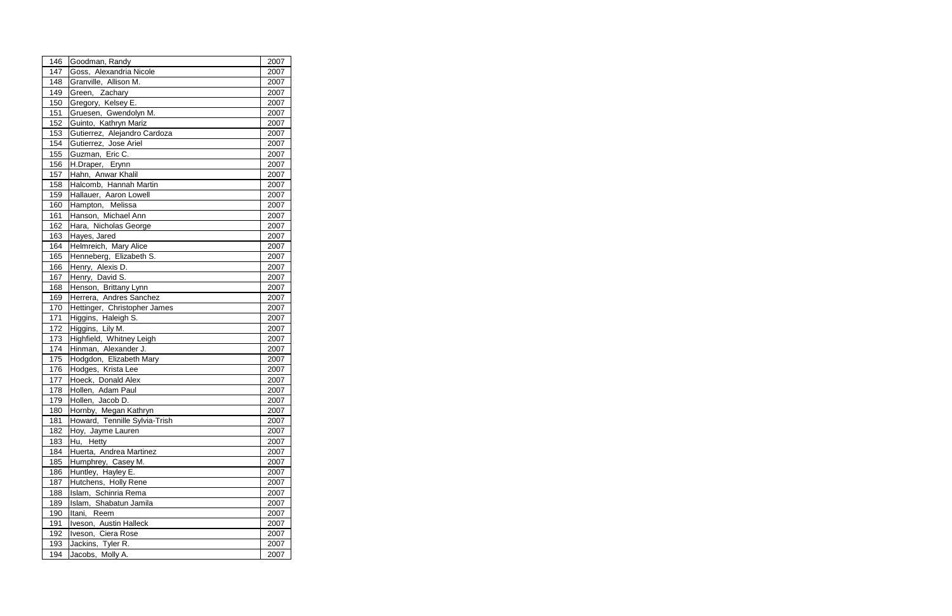| 146 | Goodman, Randy                | 2007 |
|-----|-------------------------------|------|
| 147 | Goss, Alexandria Nicole       | 2007 |
| 148 | Granville, Allison M.         | 2007 |
| 149 | Green, Zachary                | 2007 |
| 150 | Gregory, Kelsey E.            | 2007 |
| 151 | Gruesen, Gwendolyn M.         | 2007 |
| 152 | Guinto, Kathryn Mariz         | 2007 |
| 153 | Gutierrez, Alejandro Cardoza  | 2007 |
| 154 | Gutierrez, Jose Ariel         | 2007 |
| 155 | Guzman, Eric C.               | 2007 |
| 156 | H.Draper, Erynn               | 2007 |
| 157 | Hahn, Anwar Khalil            | 2007 |
| 158 | Halcomb, Hannah Martin        | 2007 |
| 159 | Hallauer, Aaron Lowell        | 2007 |
| 160 | Hampton, Melissa              | 2007 |
| 161 | Hanson, Michael Ann           | 2007 |
| 162 | Hara, Nicholas George         | 2007 |
| 163 | Hayes, Jared                  | 2007 |
| 164 | Helmreich, Mary Alice         | 2007 |
| 165 | Henneberg, Elizabeth S.       | 2007 |
| 166 | Henry, Alexis D.              | 2007 |
| 167 | Henry, David S.               | 2007 |
| 168 | Henson, Brittany Lynn         | 2007 |
| 169 | Herrera, Andres Sanchez       | 2007 |
| 170 | Hettinger, Christopher James  | 2007 |
| 171 | Higgins, Haleigh S.           | 2007 |
| 172 | Higgins, Lily M.              | 2007 |
| 173 | Highfield, Whitney Leigh      | 2007 |
| 174 | Hinman, Alexander J.          | 2007 |
| 175 | Hodgdon, Elizabeth Mary       | 2007 |
| 176 | Hodges, Krista Lee            | 2007 |
| 177 | Hoeck, Donald Alex            | 2007 |
| 178 | Hollen, Adam Paul             | 2007 |
| 179 | Hollen, Jacob D.              | 2007 |
| 180 | Hornby, Megan Kathryn         | 2007 |
| 181 | Howard, Tennille Sylvia-Trish | 2007 |
| 182 | Hoy, Jayme Lauren             | 2007 |
| 183 | Hu, Hetty                     | 2007 |
| 184 | Huerta, Andrea Martinez       | 2007 |
| 185 | Humphrey, Casey M.            | 2007 |
| 186 | Huntley, Hayley E.            | 2007 |
| 187 | Hutchens, Holly Rene          | 2007 |
| 188 | Islam, Schinria Rema          | 2007 |
| 189 | Islam, Shabatun Jamila        | 2007 |
| 190 | Itani, Reem                   | 2007 |
| 191 | Iveson, Austin Halleck        | 2007 |
| 192 | Iveson, Ciera Rose            | 2007 |
| 193 | Jackins, Tyler R.             | 2007 |
| 194 | Jacobs, Molly A.              | 2007 |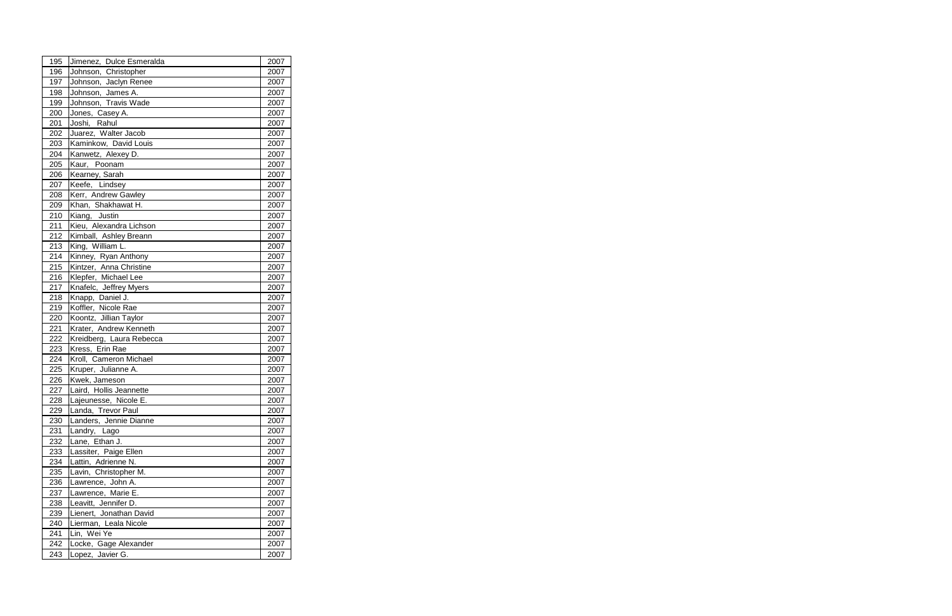| 195 | Jimenez, Dulce Esmeralda | 2007 |  |
|-----|--------------------------|------|--|
| 196 | Johnson, Christopher     | 2007 |  |
| 197 | Johnson, Jaclyn Renee    | 2007 |  |
| 198 | Johnson, James A.        | 2007 |  |
| 199 | Johnson, Travis Wade     | 2007 |  |
| 200 | Jones, Casey A.          | 2007 |  |
| 201 | Joshi, Rahul             | 2007 |  |
| 202 | Juarez, Walter Jacob     | 2007 |  |
| 203 | Kaminkow, David Louis    | 2007 |  |
| 204 | Kanwetz, Alexey D.       | 2007 |  |
| 205 | Kaur, Poonam             | 2007 |  |
| 206 | Kearney, Sarah           | 2007 |  |
| 207 | Keefe, Lindsey           | 2007 |  |
| 208 | Kerr, Andrew Gawley      | 2007 |  |
| 209 | Khan, Shakhawat H.       | 2007 |  |
| 210 | Kiang, Justin            | 2007 |  |
| 211 | Kieu, Alexandra Lichson  | 2007 |  |
| 212 | Kimball, Ashley Breann   | 2007 |  |
| 213 | King, William L.         | 2007 |  |
| 214 | Kinney, Ryan Anthony     | 2007 |  |
| 215 | Kintzer, Anna Christine  | 2007 |  |
| 216 | Klepfer, Michael Lee     | 2007 |  |
| 217 | Knafelc, Jeffrey Myers   | 2007 |  |
| 218 | Knapp, Daniel J.         | 2007 |  |
| 219 | Koffler, Nicole Rae      | 2007 |  |
| 220 | Koontz, Jillian Taylor   | 2007 |  |
| 221 | Krater, Andrew Kenneth   | 2007 |  |
| 222 | Kreidberg, Laura Rebecca | 2007 |  |
| 223 | Kress, Erin Rae          | 2007 |  |
| 224 | Kroll, Cameron Michael   | 2007 |  |
| 225 | Kruper, Julianne A.      | 2007 |  |
| 226 | Kwek, Jameson            | 2007 |  |
| 227 | Laird, Hollis Jeannette  | 2007 |  |
| 228 | Lajeunesse, Nicole E.    | 2007 |  |
| 229 | Landa, Trevor Paul       | 2007 |  |
| 230 | Landers, Jennie Dianne   | 2007 |  |
| 231 | Landry, Lago             | 2007 |  |
| 232 | Lane, Ethan J.           | 2007 |  |
| 233 | Lassiter, Paige Ellen    | 2007 |  |
| 234 | Lattin, Adrienne N.      | 2007 |  |
| 235 | Lavin, Christopher M.    | 2007 |  |
| 236 | Lawrence, John A.        | 2007 |  |
| 237 | Lawrence, Marie E.       | 2007 |  |
| 238 | Leavitt, Jennifer D.     | 2007 |  |
| 239 | Lienert, Jonathan David  | 2007 |  |
| 240 | Lierman, Leala Nicole    | 2007 |  |
| 241 | Lin, Wei Ye              | 2007 |  |
| 242 | Locke, Gage Alexander    | 2007 |  |
| 243 | Lopez, Javier G.         | 2007 |  |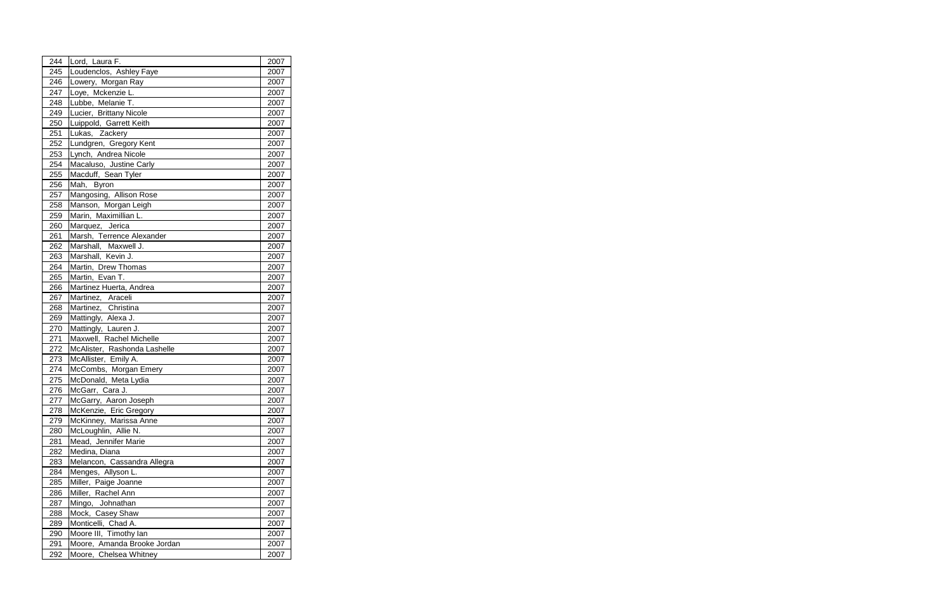| 244        | Lord, Laura F.                                  | 2007         |
|------------|-------------------------------------------------|--------------|
| 245        | Loudenclos, Ashley Faye                         | 2007         |
| 246        | Lowery, Morgan Ray                              | 2007         |
| 247        | Loye, Mckenzie L.                               | 2007         |
| 248        | Lubbe, Melanie T.                               | 2007         |
| 249        | Lucier, Brittany Nicole                         | 2007         |
| 250        | Luippold, Garrett Keith                         | 2007         |
| 251        | Lukas, Zackery                                  | 2007         |
| 252        | Lundgren, Gregory Kent                          | 2007         |
| 253        | Lynch, Andrea Nicole                            | 2007         |
| 254        | Macaluso, Justine Carly                         | 2007         |
| 255        | Macduff, Sean Tyler                             | 2007         |
| 256        | Mah, Byron                                      | 2007         |
| 257        | Mangosing, Allison Rose                         | 2007         |
| 258        | Manson, Morgan Leigh                            | 2007         |
| 259        | Marin, Maximillian L.                           | 2007         |
| 260        | Marquez, Jerica                                 | 2007         |
| 261        | Marsh, Terrence Alexander                       | 2007         |
| 262        | Marshall, Maxwell J.                            | 2007         |
| 263        | Marshall, Kevin J.                              | 2007         |
| 264        | Martin, Drew Thomas                             | 2007         |
| 265        | Martin, Evan T.                                 | 2007         |
| 266        | Martinez Huerta, Andrea                         | 2007         |
| 267        | Martinez, Araceli                               | 2007         |
| 268        | Martinez, Christina                             | 2007         |
| 269        | Mattingly, Alexa J.                             | 2007         |
| 270        | Mattingly, Lauren J.                            | 2007         |
| 271        | Maxwell, Rachel Michelle                        | 2007         |
| 272        | McAlister, Rashonda Lashelle                    | 2007         |
| 273        | McAllister, Emily A.                            | 2007         |
| 274        | McCombs, Morgan Emery                           | 2007         |
| 275        | McDonald, Meta Lydia                            | 2007         |
| 276<br>277 | McGarr, Cara J.                                 | 2007<br>2007 |
| 278        | McGarry, Aaron Joseph<br>McKenzie, Eric Gregory |              |
| 279        | McKinney, Marissa Anne                          | 2007<br>2007 |
| 280        | McLoughlin, Allie N.                            | 2007         |
| 281        | Mead, Jennifer Marie                            | 2007         |
| 282        | Medina, Diana                                   | 2007         |
| 283        | Melancon, Cassandra Allegra                     | 2007         |
| 284        | Menges, Allyson L.                              | 2007         |
| 285        | Miller, Paige Joanne                            | 2007         |
| 286        | Miller, Rachel Ann                              | 2007         |
| 287        | Mingo, Johnathan                                | 2007         |
| 288        | Mock, Casey Shaw                                | 2007         |
| 289        | Monticelli, Chad A.                             | 2007         |
| 290        | Moore III, Timothy lan                          | 2007         |
| 291        | Moore, Amanda Brooke Jordan                     | 2007         |
| 292        | Moore, Chelsea Whitney                          | 2007         |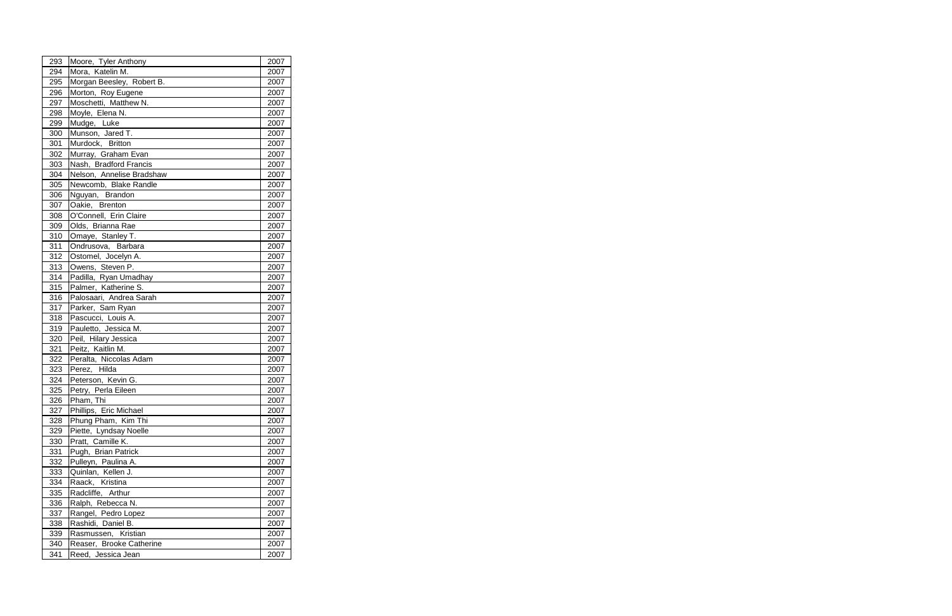| 294<br>Mora, Katelin M.<br>2007<br>Morgan Beesley, Robert B.<br>295<br>2007<br>Morton, Roy Eugene<br>296<br>2007<br>Moschetti, Matthew N.<br>297<br>2007<br>Moyle, Elena N.<br>298<br>2007<br>299<br>Mudge, Luke<br>2007 |  |
|--------------------------------------------------------------------------------------------------------------------------------------------------------------------------------------------------------------------------|--|
|                                                                                                                                                                                                                          |  |
|                                                                                                                                                                                                                          |  |
|                                                                                                                                                                                                                          |  |
|                                                                                                                                                                                                                          |  |
|                                                                                                                                                                                                                          |  |
|                                                                                                                                                                                                                          |  |
| Munson, Jared T.<br>300<br>2007                                                                                                                                                                                          |  |
| Murdock, Britton<br>301<br>2007                                                                                                                                                                                          |  |
| Murray, Graham Evan<br>2007<br>302                                                                                                                                                                                       |  |
| Nash, Bradford Francis<br>303<br>2007                                                                                                                                                                                    |  |
| Nelson, Annelise Bradshaw<br>304<br>2007                                                                                                                                                                                 |  |
| Newcomb, Blake Randle<br>2007<br>305                                                                                                                                                                                     |  |
| 306<br>Nguyan, Brandon<br>2007                                                                                                                                                                                           |  |
| Oakie, Brenton<br>307<br>2007                                                                                                                                                                                            |  |
| O'Connell, Erin Claire<br>2007<br>308                                                                                                                                                                                    |  |
| 309<br>Olds, Brianna Rae<br>2007                                                                                                                                                                                         |  |
| Omaye, Stanley T.<br>310<br>2007                                                                                                                                                                                         |  |
| 311<br>Ondrusova, Barbara<br>2007                                                                                                                                                                                        |  |
| 312<br>Ostomel, Jocelyn A.<br>2007                                                                                                                                                                                       |  |
| Owens, Steven P.<br>313<br>2007                                                                                                                                                                                          |  |
| 314<br>Padilla, Ryan Umadhay<br>2007                                                                                                                                                                                     |  |
| Palmer, Katherine S.<br>315<br>2007                                                                                                                                                                                      |  |
| Palosaari, Andrea Sarah<br>316<br>2007                                                                                                                                                                                   |  |
| 317<br>Parker, Sam Ryan<br>2007                                                                                                                                                                                          |  |
| 318<br>Pascucci, Louis A.<br>2007                                                                                                                                                                                        |  |
| 319<br>Pauletto, Jessica M.<br>2007                                                                                                                                                                                      |  |
| 320<br>Peil, Hilary Jessica<br>2007                                                                                                                                                                                      |  |
| Peitz, Kaitlin M.<br>321<br>2007                                                                                                                                                                                         |  |
| Peralta, Niccolas Adam<br>322<br>2007                                                                                                                                                                                    |  |
| Perez, Hilda<br>323<br>2007                                                                                                                                                                                              |  |
| 324<br>Peterson, Kevin G.<br>2007                                                                                                                                                                                        |  |
| Petry, Perla Eileen<br>325<br>2007                                                                                                                                                                                       |  |
| Pham, Thi<br>326<br>2007                                                                                                                                                                                                 |  |
| Phillips, Eric Michael<br>327<br>2007                                                                                                                                                                                    |  |
| Phung Pham, Kim Thi<br>328<br>2007                                                                                                                                                                                       |  |
| 329<br>Piette, Lyndsay Noelle<br>2007                                                                                                                                                                                    |  |
| Pratt, Camille K.<br>330<br>2007                                                                                                                                                                                         |  |
| Pugh, Brian Patrick<br>331<br>2007                                                                                                                                                                                       |  |
| Pulleyn, Paulina A.<br>2007<br>332                                                                                                                                                                                       |  |
| 333<br>Quinlan, Kellen J.<br>2007                                                                                                                                                                                        |  |
| 334<br>Raack, Kristina<br>2007                                                                                                                                                                                           |  |
| 335<br>Radcliffe, Arthur<br>2007                                                                                                                                                                                         |  |
| 336<br>Ralph, Rebecca N.<br>2007                                                                                                                                                                                         |  |
| 337<br>2007<br>Rangel, Pedro Lopez                                                                                                                                                                                       |  |
| 338<br>Rashidi, Daniel B.<br>2007                                                                                                                                                                                        |  |
| 339<br>Rasmussen, Kristian<br>2007                                                                                                                                                                                       |  |
| 340<br>Reaser, Brooke Catherine<br>2007                                                                                                                                                                                  |  |
| 341<br>Reed, Jessica Jean<br>2007                                                                                                                                                                                        |  |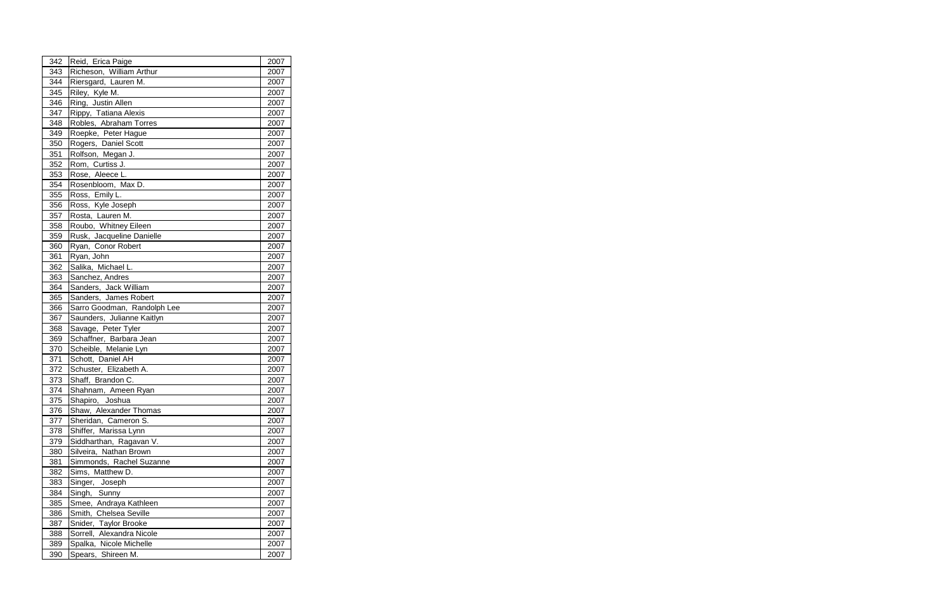| Richeson, William Arthur<br>343<br>2007<br>Riersgard, Lauren M.<br>344<br>2007<br>Riley, Kyle M.<br>345<br>2007<br>Ring, Justin Allen<br>346<br>2007<br>Rippy, Tatiana Alexis<br>347<br>2007<br>Robles, Abraham Torres<br>348<br>2007<br>349<br>Roepke, Peter Hague<br>2007<br>Rogers, Daniel Scott<br>350<br>2007<br>Rolfson, Megan J.<br>351<br>2007<br>Rom, Curtiss J.<br>352<br>2007<br>353<br>Rose, Aleece L.<br>2007<br>Rosenbloom, Max D.<br>354<br>2007<br>Ross, Emily L.<br>355<br>2007<br>Ross, Kyle Joseph<br>356<br>2007<br>357<br>Rosta, Lauren M.<br>2007<br>358<br>Roubo, Whitney Eileen<br>2007<br>Rusk, Jacqueline Danielle<br>359<br>2007<br>Ryan, Conor Robert<br>360<br>2007<br>Ryan, John<br>2007<br>361<br>362<br>Salika, Michael L.<br>2007<br>363<br>Sanchez, Andres<br>2007<br>Sanders, Jack William<br>364<br>2007<br>Sanders, James Robert<br>365<br>2007<br>2007<br>366<br>Sarro Goodman, Randolph Lee<br>Saunders, Julianne Kaitlyn<br>367<br>2007<br>368<br>Savage, Peter Tyler<br>2007<br>Schaffner, Barbara Jean<br>369<br>2007<br>Scheible, Melanie Lyn<br>370<br>2007<br>Schott, Daniel AH<br>371<br>2007<br>372<br>Schuster, Elizabeth A.<br>2007<br>Shaff, Brandon C.<br>373<br>2007<br>Shahnam, Ameen Ryan<br>374<br>2007<br>Shapiro, Joshua<br>375<br>2007<br>Shaw, Alexander Thomas<br>376<br>2007<br>377<br>Sheridan, Cameron S.<br>2007<br>378<br>Shiffer, Marissa Lynn<br>2007<br>Siddharthan, Ragavan V.<br>379<br>2007<br>Silveira, Nathan Brown<br>2007<br>380<br>Simmonds, Rachel Suzanne<br>2007<br>381<br>382<br>Sims, Matthew D.<br>2007<br>383<br>2007<br>Singer, Joseph<br>384<br>Singh, Sunny<br>2007<br>Smee, Andraya Kathleen<br>385<br>2007<br>Smith, Chelsea Seville<br>386<br>2007<br>387<br>Snider, Taylor Brooke<br>2007<br>388<br>Sorrell, Alexandra Nicole<br>2007<br>Spalka, Nicole Michelle<br>389<br>2007 | 342 | Reid, Erica Paige  | 2007 |  |
|---------------------------------------------------------------------------------------------------------------------------------------------------------------------------------------------------------------------------------------------------------------------------------------------------------------------------------------------------------------------------------------------------------------------------------------------------------------------------------------------------------------------------------------------------------------------------------------------------------------------------------------------------------------------------------------------------------------------------------------------------------------------------------------------------------------------------------------------------------------------------------------------------------------------------------------------------------------------------------------------------------------------------------------------------------------------------------------------------------------------------------------------------------------------------------------------------------------------------------------------------------------------------------------------------------------------------------------------------------------------------------------------------------------------------------------------------------------------------------------------------------------------------------------------------------------------------------------------------------------------------------------------------------------------------------------------------------------------------------------------------------------------------------------------------------------------------------------------------------------------------|-----|--------------------|------|--|
|                                                                                                                                                                                                                                                                                                                                                                                                                                                                                                                                                                                                                                                                                                                                                                                                                                                                                                                                                                                                                                                                                                                                                                                                                                                                                                                                                                                                                                                                                                                                                                                                                                                                                                                                                                                                                                                                           |     |                    |      |  |
|                                                                                                                                                                                                                                                                                                                                                                                                                                                                                                                                                                                                                                                                                                                                                                                                                                                                                                                                                                                                                                                                                                                                                                                                                                                                                                                                                                                                                                                                                                                                                                                                                                                                                                                                                                                                                                                                           |     |                    |      |  |
|                                                                                                                                                                                                                                                                                                                                                                                                                                                                                                                                                                                                                                                                                                                                                                                                                                                                                                                                                                                                                                                                                                                                                                                                                                                                                                                                                                                                                                                                                                                                                                                                                                                                                                                                                                                                                                                                           |     |                    |      |  |
|                                                                                                                                                                                                                                                                                                                                                                                                                                                                                                                                                                                                                                                                                                                                                                                                                                                                                                                                                                                                                                                                                                                                                                                                                                                                                                                                                                                                                                                                                                                                                                                                                                                                                                                                                                                                                                                                           |     |                    |      |  |
|                                                                                                                                                                                                                                                                                                                                                                                                                                                                                                                                                                                                                                                                                                                                                                                                                                                                                                                                                                                                                                                                                                                                                                                                                                                                                                                                                                                                                                                                                                                                                                                                                                                                                                                                                                                                                                                                           |     |                    |      |  |
|                                                                                                                                                                                                                                                                                                                                                                                                                                                                                                                                                                                                                                                                                                                                                                                                                                                                                                                                                                                                                                                                                                                                                                                                                                                                                                                                                                                                                                                                                                                                                                                                                                                                                                                                                                                                                                                                           |     |                    |      |  |
|                                                                                                                                                                                                                                                                                                                                                                                                                                                                                                                                                                                                                                                                                                                                                                                                                                                                                                                                                                                                                                                                                                                                                                                                                                                                                                                                                                                                                                                                                                                                                                                                                                                                                                                                                                                                                                                                           |     |                    |      |  |
|                                                                                                                                                                                                                                                                                                                                                                                                                                                                                                                                                                                                                                                                                                                                                                                                                                                                                                                                                                                                                                                                                                                                                                                                                                                                                                                                                                                                                                                                                                                                                                                                                                                                                                                                                                                                                                                                           |     |                    |      |  |
|                                                                                                                                                                                                                                                                                                                                                                                                                                                                                                                                                                                                                                                                                                                                                                                                                                                                                                                                                                                                                                                                                                                                                                                                                                                                                                                                                                                                                                                                                                                                                                                                                                                                                                                                                                                                                                                                           |     |                    |      |  |
|                                                                                                                                                                                                                                                                                                                                                                                                                                                                                                                                                                                                                                                                                                                                                                                                                                                                                                                                                                                                                                                                                                                                                                                                                                                                                                                                                                                                                                                                                                                                                                                                                                                                                                                                                                                                                                                                           |     |                    |      |  |
|                                                                                                                                                                                                                                                                                                                                                                                                                                                                                                                                                                                                                                                                                                                                                                                                                                                                                                                                                                                                                                                                                                                                                                                                                                                                                                                                                                                                                                                                                                                                                                                                                                                                                                                                                                                                                                                                           |     |                    |      |  |
|                                                                                                                                                                                                                                                                                                                                                                                                                                                                                                                                                                                                                                                                                                                                                                                                                                                                                                                                                                                                                                                                                                                                                                                                                                                                                                                                                                                                                                                                                                                                                                                                                                                                                                                                                                                                                                                                           |     |                    |      |  |
|                                                                                                                                                                                                                                                                                                                                                                                                                                                                                                                                                                                                                                                                                                                                                                                                                                                                                                                                                                                                                                                                                                                                                                                                                                                                                                                                                                                                                                                                                                                                                                                                                                                                                                                                                                                                                                                                           |     |                    |      |  |
|                                                                                                                                                                                                                                                                                                                                                                                                                                                                                                                                                                                                                                                                                                                                                                                                                                                                                                                                                                                                                                                                                                                                                                                                                                                                                                                                                                                                                                                                                                                                                                                                                                                                                                                                                                                                                                                                           |     |                    |      |  |
|                                                                                                                                                                                                                                                                                                                                                                                                                                                                                                                                                                                                                                                                                                                                                                                                                                                                                                                                                                                                                                                                                                                                                                                                                                                                                                                                                                                                                                                                                                                                                                                                                                                                                                                                                                                                                                                                           |     |                    |      |  |
|                                                                                                                                                                                                                                                                                                                                                                                                                                                                                                                                                                                                                                                                                                                                                                                                                                                                                                                                                                                                                                                                                                                                                                                                                                                                                                                                                                                                                                                                                                                                                                                                                                                                                                                                                                                                                                                                           |     |                    |      |  |
|                                                                                                                                                                                                                                                                                                                                                                                                                                                                                                                                                                                                                                                                                                                                                                                                                                                                                                                                                                                                                                                                                                                                                                                                                                                                                                                                                                                                                                                                                                                                                                                                                                                                                                                                                                                                                                                                           |     |                    |      |  |
|                                                                                                                                                                                                                                                                                                                                                                                                                                                                                                                                                                                                                                                                                                                                                                                                                                                                                                                                                                                                                                                                                                                                                                                                                                                                                                                                                                                                                                                                                                                                                                                                                                                                                                                                                                                                                                                                           |     |                    |      |  |
|                                                                                                                                                                                                                                                                                                                                                                                                                                                                                                                                                                                                                                                                                                                                                                                                                                                                                                                                                                                                                                                                                                                                                                                                                                                                                                                                                                                                                                                                                                                                                                                                                                                                                                                                                                                                                                                                           |     |                    |      |  |
|                                                                                                                                                                                                                                                                                                                                                                                                                                                                                                                                                                                                                                                                                                                                                                                                                                                                                                                                                                                                                                                                                                                                                                                                                                                                                                                                                                                                                                                                                                                                                                                                                                                                                                                                                                                                                                                                           |     |                    |      |  |
|                                                                                                                                                                                                                                                                                                                                                                                                                                                                                                                                                                                                                                                                                                                                                                                                                                                                                                                                                                                                                                                                                                                                                                                                                                                                                                                                                                                                                                                                                                                                                                                                                                                                                                                                                                                                                                                                           |     |                    |      |  |
|                                                                                                                                                                                                                                                                                                                                                                                                                                                                                                                                                                                                                                                                                                                                                                                                                                                                                                                                                                                                                                                                                                                                                                                                                                                                                                                                                                                                                                                                                                                                                                                                                                                                                                                                                                                                                                                                           |     |                    |      |  |
|                                                                                                                                                                                                                                                                                                                                                                                                                                                                                                                                                                                                                                                                                                                                                                                                                                                                                                                                                                                                                                                                                                                                                                                                                                                                                                                                                                                                                                                                                                                                                                                                                                                                                                                                                                                                                                                                           |     |                    |      |  |
|                                                                                                                                                                                                                                                                                                                                                                                                                                                                                                                                                                                                                                                                                                                                                                                                                                                                                                                                                                                                                                                                                                                                                                                                                                                                                                                                                                                                                                                                                                                                                                                                                                                                                                                                                                                                                                                                           |     |                    |      |  |
|                                                                                                                                                                                                                                                                                                                                                                                                                                                                                                                                                                                                                                                                                                                                                                                                                                                                                                                                                                                                                                                                                                                                                                                                                                                                                                                                                                                                                                                                                                                                                                                                                                                                                                                                                                                                                                                                           |     |                    |      |  |
|                                                                                                                                                                                                                                                                                                                                                                                                                                                                                                                                                                                                                                                                                                                                                                                                                                                                                                                                                                                                                                                                                                                                                                                                                                                                                                                                                                                                                                                                                                                                                                                                                                                                                                                                                                                                                                                                           |     |                    |      |  |
|                                                                                                                                                                                                                                                                                                                                                                                                                                                                                                                                                                                                                                                                                                                                                                                                                                                                                                                                                                                                                                                                                                                                                                                                                                                                                                                                                                                                                                                                                                                                                                                                                                                                                                                                                                                                                                                                           |     |                    |      |  |
|                                                                                                                                                                                                                                                                                                                                                                                                                                                                                                                                                                                                                                                                                                                                                                                                                                                                                                                                                                                                                                                                                                                                                                                                                                                                                                                                                                                                                                                                                                                                                                                                                                                                                                                                                                                                                                                                           |     |                    |      |  |
|                                                                                                                                                                                                                                                                                                                                                                                                                                                                                                                                                                                                                                                                                                                                                                                                                                                                                                                                                                                                                                                                                                                                                                                                                                                                                                                                                                                                                                                                                                                                                                                                                                                                                                                                                                                                                                                                           |     |                    |      |  |
|                                                                                                                                                                                                                                                                                                                                                                                                                                                                                                                                                                                                                                                                                                                                                                                                                                                                                                                                                                                                                                                                                                                                                                                                                                                                                                                                                                                                                                                                                                                                                                                                                                                                                                                                                                                                                                                                           |     |                    |      |  |
|                                                                                                                                                                                                                                                                                                                                                                                                                                                                                                                                                                                                                                                                                                                                                                                                                                                                                                                                                                                                                                                                                                                                                                                                                                                                                                                                                                                                                                                                                                                                                                                                                                                                                                                                                                                                                                                                           |     |                    |      |  |
|                                                                                                                                                                                                                                                                                                                                                                                                                                                                                                                                                                                                                                                                                                                                                                                                                                                                                                                                                                                                                                                                                                                                                                                                                                                                                                                                                                                                                                                                                                                                                                                                                                                                                                                                                                                                                                                                           |     |                    |      |  |
|                                                                                                                                                                                                                                                                                                                                                                                                                                                                                                                                                                                                                                                                                                                                                                                                                                                                                                                                                                                                                                                                                                                                                                                                                                                                                                                                                                                                                                                                                                                                                                                                                                                                                                                                                                                                                                                                           |     |                    |      |  |
|                                                                                                                                                                                                                                                                                                                                                                                                                                                                                                                                                                                                                                                                                                                                                                                                                                                                                                                                                                                                                                                                                                                                                                                                                                                                                                                                                                                                                                                                                                                                                                                                                                                                                                                                                                                                                                                                           |     |                    |      |  |
|                                                                                                                                                                                                                                                                                                                                                                                                                                                                                                                                                                                                                                                                                                                                                                                                                                                                                                                                                                                                                                                                                                                                                                                                                                                                                                                                                                                                                                                                                                                                                                                                                                                                                                                                                                                                                                                                           |     |                    |      |  |
|                                                                                                                                                                                                                                                                                                                                                                                                                                                                                                                                                                                                                                                                                                                                                                                                                                                                                                                                                                                                                                                                                                                                                                                                                                                                                                                                                                                                                                                                                                                                                                                                                                                                                                                                                                                                                                                                           |     |                    |      |  |
|                                                                                                                                                                                                                                                                                                                                                                                                                                                                                                                                                                                                                                                                                                                                                                                                                                                                                                                                                                                                                                                                                                                                                                                                                                                                                                                                                                                                                                                                                                                                                                                                                                                                                                                                                                                                                                                                           |     |                    |      |  |
|                                                                                                                                                                                                                                                                                                                                                                                                                                                                                                                                                                                                                                                                                                                                                                                                                                                                                                                                                                                                                                                                                                                                                                                                                                                                                                                                                                                                                                                                                                                                                                                                                                                                                                                                                                                                                                                                           |     |                    |      |  |
|                                                                                                                                                                                                                                                                                                                                                                                                                                                                                                                                                                                                                                                                                                                                                                                                                                                                                                                                                                                                                                                                                                                                                                                                                                                                                                                                                                                                                                                                                                                                                                                                                                                                                                                                                                                                                                                                           |     |                    |      |  |
|                                                                                                                                                                                                                                                                                                                                                                                                                                                                                                                                                                                                                                                                                                                                                                                                                                                                                                                                                                                                                                                                                                                                                                                                                                                                                                                                                                                                                                                                                                                                                                                                                                                                                                                                                                                                                                                                           |     |                    |      |  |
|                                                                                                                                                                                                                                                                                                                                                                                                                                                                                                                                                                                                                                                                                                                                                                                                                                                                                                                                                                                                                                                                                                                                                                                                                                                                                                                                                                                                                                                                                                                                                                                                                                                                                                                                                                                                                                                                           |     |                    |      |  |
|                                                                                                                                                                                                                                                                                                                                                                                                                                                                                                                                                                                                                                                                                                                                                                                                                                                                                                                                                                                                                                                                                                                                                                                                                                                                                                                                                                                                                                                                                                                                                                                                                                                                                                                                                                                                                                                                           |     |                    |      |  |
|                                                                                                                                                                                                                                                                                                                                                                                                                                                                                                                                                                                                                                                                                                                                                                                                                                                                                                                                                                                                                                                                                                                                                                                                                                                                                                                                                                                                                                                                                                                                                                                                                                                                                                                                                                                                                                                                           |     |                    |      |  |
|                                                                                                                                                                                                                                                                                                                                                                                                                                                                                                                                                                                                                                                                                                                                                                                                                                                                                                                                                                                                                                                                                                                                                                                                                                                                                                                                                                                                                                                                                                                                                                                                                                                                                                                                                                                                                                                                           |     |                    |      |  |
|                                                                                                                                                                                                                                                                                                                                                                                                                                                                                                                                                                                                                                                                                                                                                                                                                                                                                                                                                                                                                                                                                                                                                                                                                                                                                                                                                                                                                                                                                                                                                                                                                                                                                                                                                                                                                                                                           |     |                    |      |  |
|                                                                                                                                                                                                                                                                                                                                                                                                                                                                                                                                                                                                                                                                                                                                                                                                                                                                                                                                                                                                                                                                                                                                                                                                                                                                                                                                                                                                                                                                                                                                                                                                                                                                                                                                                                                                                                                                           |     |                    |      |  |
|                                                                                                                                                                                                                                                                                                                                                                                                                                                                                                                                                                                                                                                                                                                                                                                                                                                                                                                                                                                                                                                                                                                                                                                                                                                                                                                                                                                                                                                                                                                                                                                                                                                                                                                                                                                                                                                                           |     |                    |      |  |
|                                                                                                                                                                                                                                                                                                                                                                                                                                                                                                                                                                                                                                                                                                                                                                                                                                                                                                                                                                                                                                                                                                                                                                                                                                                                                                                                                                                                                                                                                                                                                                                                                                                                                                                                                                                                                                                                           | 390 | Spears, Shireen M. | 2007 |  |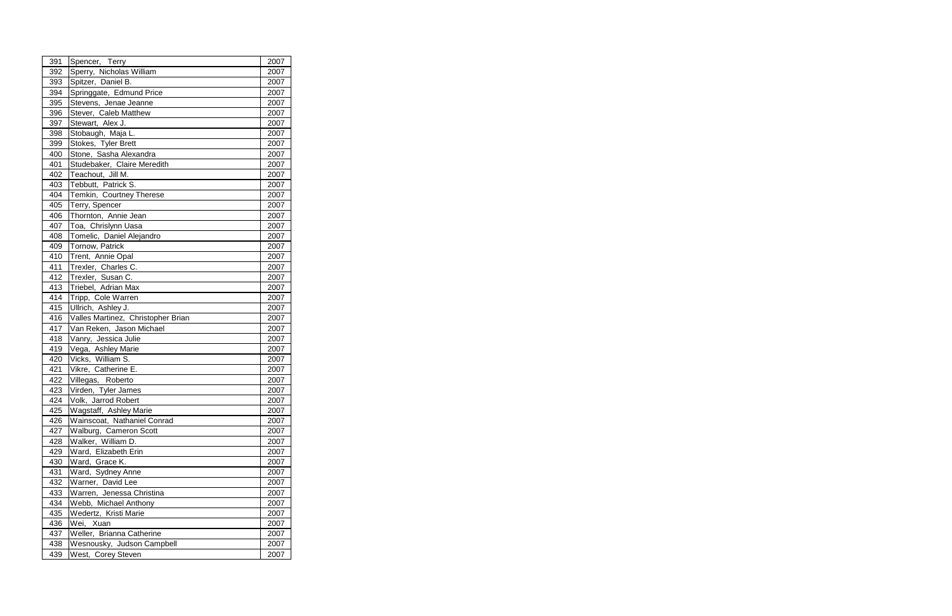| 391 | Spencer, Terry                     | 2007 |
|-----|------------------------------------|------|
| 392 | Sperry, Nicholas William           | 2007 |
| 393 | Spitzer, Daniel B.                 | 2007 |
| 394 | Springgate, Edmund Price           | 2007 |
| 395 | Stevens, Jenae Jeanne              | 2007 |
| 396 | Stever, Caleb Matthew              | 2007 |
| 397 | Stewart, Alex J.                   | 2007 |
| 398 | Stobaugh, Maja L.                  | 2007 |
| 399 | Stokes, Tyler Brett                | 2007 |
| 400 | Stone, Sasha Alexandra             | 2007 |
| 401 | Studebaker, Claire Meredith        | 2007 |
| 402 | Teachout, Jill M.                  | 2007 |
| 403 | Tebbutt, Patrick S.                | 2007 |
| 404 | Temkin, Courtney Therese           | 2007 |
| 405 | Terry, Spencer                     | 2007 |
| 406 | Thornton, Annie Jean               | 2007 |
| 407 | Toa, Chrislynn Uasa                | 2007 |
| 408 | Tomelic, Daniel Alejandro          | 2007 |
| 409 | Tornow, Patrick                    | 2007 |
| 410 | Trent, Annie Opal                  | 2007 |
| 411 | Trexler, Charles C.                | 2007 |
| 412 | Trexler, Susan C.                  | 2007 |
| 413 | Triebel, Adrian Max                | 2007 |
| 414 | Tripp, Cole Warren                 | 2007 |
| 415 | Ullrich, Ashley J.                 | 2007 |
| 416 | Valles Martinez, Christopher Brian | 2007 |
| 417 | Van Reken, Jason Michael           | 2007 |
| 418 | Vanry, Jessica Julie               | 2007 |
| 419 | Vega, Ashley Marie                 | 2007 |
| 420 | Vicks, William S.                  | 2007 |
| 421 | Vikre, Catherine E.                | 2007 |
| 422 | Villegas, Roberto                  | 2007 |
| 423 | Virden, Tyler James                | 2007 |
| 424 | Volk, Jarrod Robert                | 2007 |
| 425 | Wagstaff, Ashley Marie             | 2007 |
| 426 | Wainscoat, Nathaniel Conrad        | 2007 |
| 427 | Walburg, Cameron Scott             | 2007 |
| 428 | Walker, William D.                 | 2007 |
| 429 | Ward, Elizabeth Erin               | 2007 |
| 430 | Ward, Grace K.                     | 2007 |
| 431 | Ward, Sydney Anne                  | 2007 |
| 432 | Warner, David Lee                  | 2007 |
| 433 | Warren, Jenessa Christina          | 2007 |
| 434 | Webb, Michael Anthony              | 2007 |
| 435 | Wedertz, Kristi Marie              | 2007 |
| 436 | Wei,<br>Xuan                       | 2007 |
| 437 | Weller, Brianna Catherine          | 2007 |
| 438 | Wesnousky, Judson Campbell         | 2007 |
| 439 | West, Corey Steven                 | 2007 |